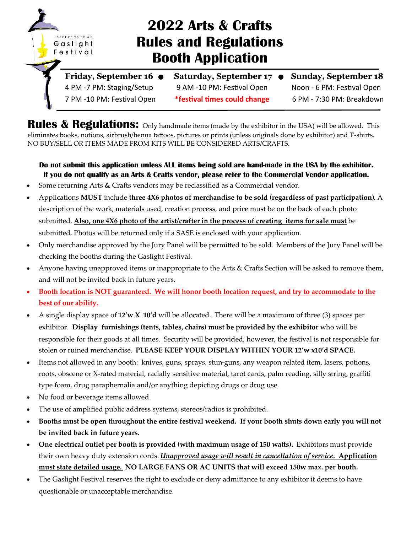

# **2022 Arts & Crafts Rules and Regulations Booth Application**

Friday, September 16  $\bullet$  Saturday, September 17  $\bullet$  Sunday, September 18 4 PM -7 PM: Staging/Setup 9 AM -10 PM: Festival Open Noon - 6 PM: Festival Open 7 PM -10 PM: Festival Open **\*festival times could change** 6 PM - 7:30 PM: Breakdown

**Rules & Regulations:** Only handmade items (made by the exhibitor in the USA) will be allowed. This eliminates books, notions, airbrush/henna tattoos, pictures or prints (unless originals done by exhibitor) and T-shirts. NO BUY/SELL OR ITEMS MADE FROM KITS WILL BE CONSIDERED ARTS/CRAFTS.

### **Do not submit this application unless ALL items being sold are hand-made in the USA by the exhibitor. If you do not qualify as an Arts & Crafts vendor, please refer to the Commercial Vendor application.**

- Some returning Arts & Crafts vendors may be reclassified as a Commercial vendor.
- Applications **MUST** include **three 4X6 photos of merchandise to be sold (regardless of past participation)**. A description of the work, materials used, creation process, and price must be on the back of each photo submitted. **Also, one 4X6 photo of the artist/crafter in the process of creating items for sale must** be submitted. Photos will be returned only if a SASE is enclosed with your application.
- Only merchandise approved by the Jury Panel will be permitted to be sold. Members of the Jury Panel will be checking the booths during the Gaslight Festival.
- Anyone having unapproved items or inappropriate to the Arts & Crafts Section will be asked to remove them, and will not be invited back in future years.
- **Booth location is NOT guaranteed. We will honor booth location request, and try to accommodate to the best of our ability.**
- A single display space of **12'w X 10'd** will be allocated. There will be a maximum of three (3) spaces per exhibitor. **Display furnishings (tents, tables, chairs) must be provided by the exhibitor** who will be responsible for their goods at all times. Security will be provided, however, the festival is not responsible for stolen or ruined merchandise. **PLEASE KEEP YOUR DISPLAY WITHIN YOUR 12'w x10'd SPACE.**
- Items not allowed in any booth: knives, guns, sprays, stun-guns, any weapon related item, lasers, potions, roots, obscene or X-rated material, racially sensitive material, tarot cards, palm reading, silly string, graffiti type foam, drug paraphernalia and/or anything depicting drugs or drug use.
- No food or beverage items allowed.
- The use of amplified public address systems, stereos/radios is prohibited.
- **Booths must be open throughout the entire festival weekend. If your booth shuts down early you will not be invited back in future years.**
- **One electrical outlet per booth is provided (with maximum usage of 150 watts).** Exhibitors must provide their own heavy duty extension cords. *Unapproved usage will result in cancellation of service.* **Application must state detailed usage. NO LARGE FANS OR AC UNITS that will exceed 150w max. per booth.**
- The Gaslight Festival reserves the right to exclude or deny admittance to any exhibitor it deems to have questionable or unacceptable merchandise.